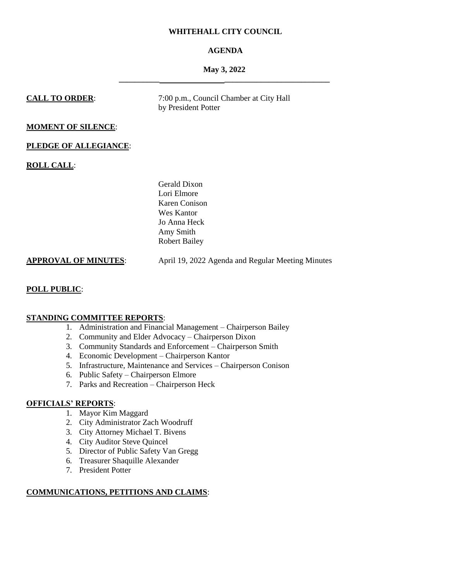## **WHITEHALL CITY COUNCIL**

# **AGENDA**

## **May 3, 2022 \_\_\_\_\_\_\_\_\_\_ \_\_\_\_\_\_\_\_\_\_\_\_\_\_\_\_\_\_\_\_\_\_\_\_\_\_**

**CALL TO ORDER:** 7:00 p.m., Council Chamber at City Hall by President Potter

# **MOMENT OF SILENCE**:

## **PLEDGE OF ALLEGIANCE**:

**ROLL CALL**:

Gerald Dixon Lori Elmore Karen Conison Wes Kantor Jo Anna Heck Amy Smith Robert Bailey

**APPROVAL OF MINUTES**: April 19, 2022 Agenda and Regular Meeting Minutes

## **POLL PUBLIC**:

# **STANDING COMMITTEE REPORTS**:

- 1. Administration and Financial Management Chairperson Bailey
- 2. Community and Elder Advocacy Chairperson Dixon
- 3. Community Standards and Enforcement Chairperson Smith
- 4. Economic Development Chairperson Kantor
- 5. Infrastructure, Maintenance and Services Chairperson Conison
- 6. Public Safety Chairperson Elmore
- 7. Parks and Recreation Chairperson Heck

## **OFFICIALS' REPORTS**:

- 1. Mayor Kim Maggard
- 2. City Administrator Zach Woodruff
- 3. City Attorney Michael T. Bivens
- 4. City Auditor Steve Quincel
- 5. Director of Public Safety Van Gregg
- 6. Treasurer Shaquille Alexander
- 7. President Potter

# **COMMUNICATIONS, PETITIONS AND CLAIMS**: